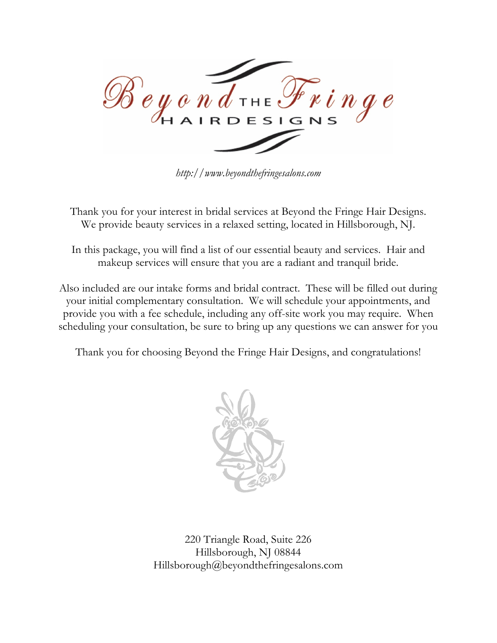

*http://www.beyondthefringesalons.com*

Thank you for your interest in bridal services at Beyond the Fringe Hair Designs. We provide beauty services in a relaxed setting, located in Hillsborough, NJ.

In this package, you will find a list of our essential beauty and services. Hair and makeup services will ensure that you are a radiant and tranquil bride.

Also included are our intake forms and bridal contract. These will be filled out during your initial complementary consultation. We will schedule your appointments, and provide you with a fee schedule, including any off-site work you may require. When scheduling your consultation, be sure to bring up any questions we can answer for you

Thank you for choosing Beyond the Fringe Hair Designs, and congratulations!



220 Triangle Road, Suite 226 Hillsborough, NJ 08844 Hillsborough@beyondthefringesalons.com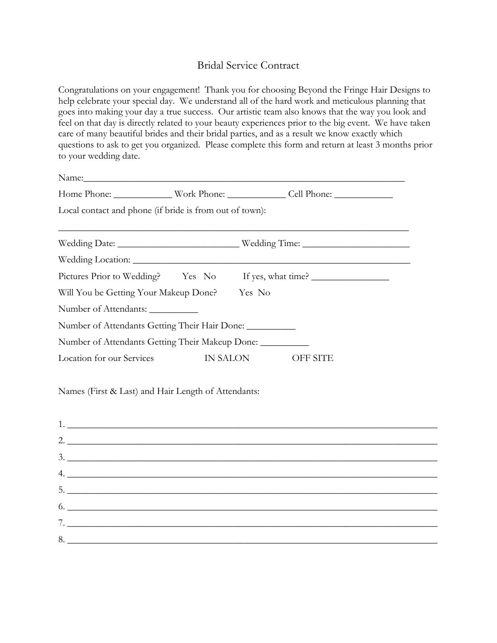## Bridal Service Contract

Congratulations on your engagement! Thank you for choosing Beyond the Fringe Hair Designs to help celebrate your special day. We understand all of the hard work and meticulous planning that goes into making your day a true success. Our artistic team also knows that the way you look and feel on that day is directly related to your beauty experiences prior to the big event. We have taken care of many beautiful brides and their bridal parties, and as a result we know exactly which questions to ask to get you organized. Please complete this form and return at least 3 months prior to your wedding date.

| Local contact and phone (if bride is from out of town):    |          |  |          |  |
|------------------------------------------------------------|----------|--|----------|--|
|                                                            |          |  |          |  |
|                                                            |          |  |          |  |
| Pictures Prior to Wedding? Yes No If yes, what time?       |          |  |          |  |
| Will You be Getting Your Makeup Done? Yes No               |          |  |          |  |
| Number of Attendants:                                      |          |  |          |  |
| Number of Attendants Getting Their Hair Done: __________   |          |  |          |  |
| Number of Attendants Getting Their Makeup Done: __________ |          |  |          |  |
| Location for our Services                                  | IN SALON |  | OFF SITE |  |
| Names (First & Last) and Hair Length of Attendants:<br>1.  |          |  |          |  |
| 2. $\frac{1}{2}$                                           |          |  |          |  |
| 3.                                                         |          |  |          |  |
| 4.                                                         |          |  |          |  |
| $5.$ $\overline{\phantom{a}}$                              |          |  |          |  |
| $6.$ $\overline{\phantom{a}}$                              |          |  |          |  |
| 7.                                                         |          |  |          |  |
|                                                            |          |  |          |  |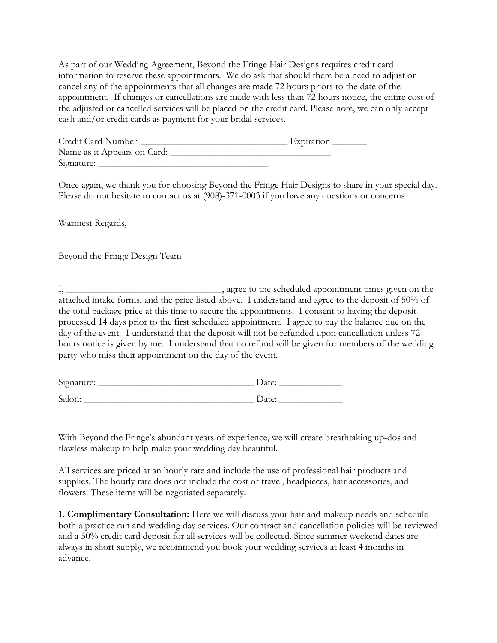As part of our Wedding Agreement, Beyond the Fringe Hair Designs requires credit card information to reserve these appointments. We do ask that should there be a need to adjust or cancel any of the appointments that all changes are made 72 hours priors to the date of the appointment. If changes or cancellations are made with less than 72 hours notice, the entire cost of the adjusted or cancelled services will be placed on the credit card. Please note, we can only accept cash and/or credit cards as payment for your bridal services.

| Credit Card Number:         | Expiration |
|-----------------------------|------------|
| Name as it Appears on Card: |            |
| Signature:                  |            |

Once again, we thank you for choosing Beyond the Fringe Hair Designs to share in your special day. Please do not hesitate to contact us at (908)-371-0003 if you have any questions or concerns.

Warmest Regards,

Beyond the Fringe Design Team

I, \_\_\_\_\_\_\_\_\_\_\_\_\_\_\_\_\_\_\_\_\_\_\_\_\_\_\_\_\_\_\_\_, agree to the scheduled appointment times given on the attached intake forms, and the price listed above. I understand and agree to the deposit of 50% of the total package price at this time to secure the appointments. I consent to having the deposit processed 14 days prior to the first scheduled appointment. I agree to pay the balance due on the day of the event. I understand that the deposit will not be refunded upon cancellation unless 72 hours notice is given by me. I understand that no refund will be given for members of the wedding party who miss their appointment on the day of the event.

| Signature: | Date: |
|------------|-------|
| Salon:     | Date: |

With Beyond the Fringe's abundant years of experience, we will create breathtaking up-dos and flawless makeup to help make your wedding day beautiful.

All services are priced at an hourly rate and include the use of professional hair products and supplies. The hourly rate does not include the cost of travel, headpieces, hair accessories, and flowers. These items will be negotiated separately.

**1. Complimentary Consultation:** Here we will discuss your hair and makeup needs and schedule both a practice run and wedding day services. Our contract and cancellation policies will be reviewed and a 50% credit card deposit for all services will be collected. Since summer weekend dates are always in short supply, we recommend you book your wedding services at least 4 months in advance.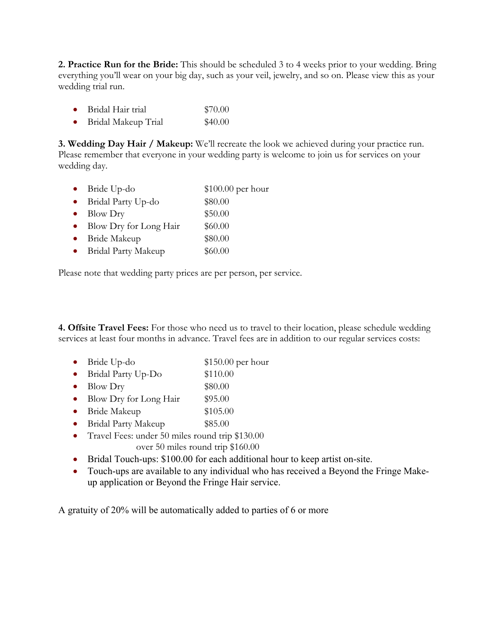**2. Practice Run for the Bride:** This should be scheduled 3 to 4 weeks prior to your wedding. Bring everything you'll wear on your big day, such as your veil, jewelry, and so on. Please view this as your wedding trial run.

- Bridal Hair trial \$70.00
- Bridal Makeup Trial \$40.00

**3. Wedding Day Hair / Makeup:** We'll recreate the look we achieved during your practice run. Please remember that everyone in your wedding party is welcome to join us for services on your wedding day.

|           | • Bride Up-do            | $$100.00$ per hour |
|-----------|--------------------------|--------------------|
|           | • Bridal Party Up-do     | \$80.00            |
|           | $\bullet$ Blow Dry       | \$50.00            |
|           | • Blow Dry for Long Hair | \$60.00            |
| $\bullet$ | Bride Makeup             | \$80.00            |
|           | • Bridal Party Makeup    | \$60.00            |
|           |                          |                    |

Please note that wedding party prices are per person, per service.

**4. Offsite Travel Fees:** For those who need us to travel to their location, please schedule wedding services at least four months in advance. Travel fees are in addition to our regular services costs:

- Bride Up-do \$150.00 per hour
- Bridal Party Up-Do \$110.00
- Blow Dry  $$80.00$
- Blow Dry for Long Hair \$95.00
- Bride Makeup \$105.00
- Bridal Party Makeup \$85.00
- Travel Fees: under 50 miles round trip \$130.00 over 50 miles round trip \$160.00
- Bridal Touch-ups: \$100.00 for each additional hour to keep artist on-site.
- Touch-ups are available to any individual who has received a Beyond the Fringe Makeup application or Beyond the Fringe Hair service.

A gratuity of 20% will be automatically added to parties of 6 or more